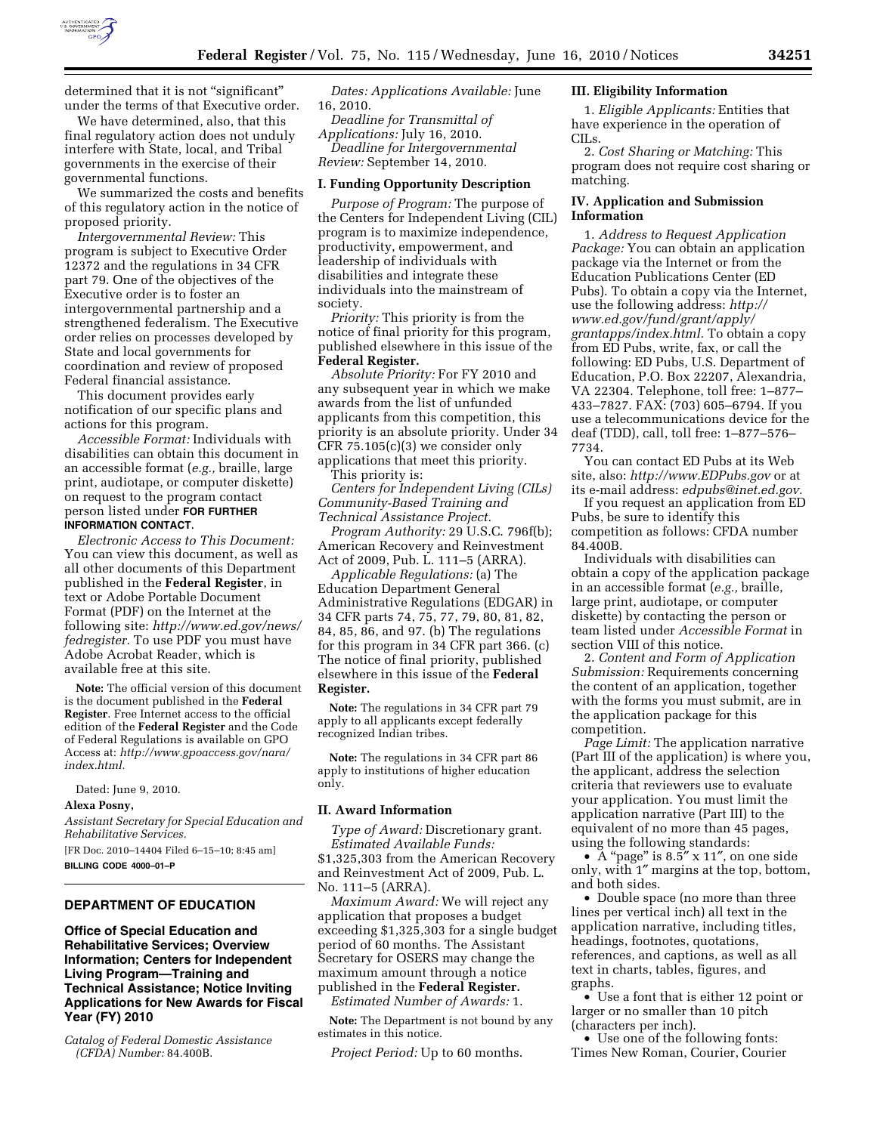

determined that it is not "significant" under the terms of that Executive order.

We have determined, also, that this final regulatory action does not unduly interfere with State, local, and Tribal governments in the exercise of their governmental functions.

We summarized the costs and benefits of this regulatory action in the notice of proposed priority.

*Intergovernmental Review:* This program is subject to Executive Order 12372 and the regulations in 34 CFR part 79. One of the objectives of the Executive order is to foster an intergovernmental partnership and a strengthened federalism. The Executive order relies on processes developed by State and local governments for coordination and review of proposed Federal financial assistance.

This document provides early notification of our specific plans and actions for this program.

*Accessible Format:* Individuals with disabilities can obtain this document in an accessible format (*e.g.,* braille, large print, audiotape, or computer diskette) on request to the program contact person listed under **FOR FURTHER INFORMATION CONTACT**.

*Electronic Access to This Document:*  You can view this document, as well as all other documents of this Department published in the **Federal Register**, in text or Adobe Portable Document Format (PDF) on the Internet at the following site: *http://www.ed.gov/news/ fedregister.* To use PDF you must have Adobe Acrobat Reader, which is available free at this site.

**Note:** The official version of this document is the document published in the **Federal Register**. Free Internet access to the official edition of the **Federal Register** and the Code of Federal Regulations is available on GPO Access at: *http://www.gpoaccess.gov/nara/ index.html.* 

Dated: June 9, 2010. **Alexa Posny,** 

*Assistant Secretary for Special Education and Rehabilitative Services.* 

[FR Doc. 2010–14404 Filed 6–15–10; 8:45 am] **BILLING CODE 4000–01–P** 

## **DEPARTMENT OF EDUCATION**

**Office of Special Education and Rehabilitative Services; Overview Information; Centers for Independent Living Program—Training and Technical Assistance; Notice Inviting Applications for New Awards for Fiscal Year (FY) 2010** 

*Catalog of Federal Domestic Assistance (CFDA) Number:* 84.400B.

*Dates: Applications Available:* June 16, 2010.

*Deadline for Transmittal of Applications:* July 16, 2010. *Deadline for Intergovernmental Review:* September 14, 2010.

# **I. Funding Opportunity Description**

*Purpose of Program:* The purpose of the Centers for Independent Living (CIL) program is to maximize independence, productivity, empowerment, and leadership of individuals with disabilities and integrate these individuals into the mainstream of society.

*Priority:* This priority is from the notice of final priority for this program, published elsewhere in this issue of the **Federal Register.** 

*Absolute Priority:* For FY 2010 and any subsequent year in which we make awards from the list of unfunded applicants from this competition, this priority is an absolute priority. Under 34 CFR 75.105(c)(3) we consider only applications that meet this priority.

This priority is:

*Centers for Independent Living (CILs) Community-Based Training and Technical Assistance Project.* 

*Program Authority:* 29 U.S.C. 796f(b); American Recovery and Reinvestment Act of 2009, Pub. L. 111–5 (ARRA).

*Applicable Regulations:* (a) The Education Department General Administrative Regulations (EDGAR) in 34 CFR parts 74, 75, 77, 79, 80, 81, 82, 84, 85, 86, and 97. (b) The regulations for this program in 34 CFR part 366. (c) The notice of final priority, published elsewhere in this issue of the **Federal Register.** 

**Note:** The regulations in 34 CFR part 79 apply to all applicants except federally recognized Indian tribes.

**Note:** The regulations in 34 CFR part 86 apply to institutions of higher education only.

#### **II. Award Information**

*Type of Award:* Discretionary grant. *Estimated Available Funds:*  \$1,325,303 from the American Recovery and Reinvestment Act of 2009, Pub. L. No. 111–5 (ARRA).

*Maximum Award:* We will reject any application that proposes a budget exceeding \$1,325,303 for a single budget period of 60 months. The Assistant Secretary for OSERS may change the maximum amount through a notice published in the **Federal Register.**  *Estimated Number of Awards:* 1.

**Note:** The Department is not bound by any estimates in this notice.

*Project Period:* Up to 60 months.

## **III. Eligibility Information**

1. *Eligible Applicants:* Entities that have experience in the operation of CILs.

2. *Cost Sharing or Matching:* This program does not require cost sharing or matching.

# **IV. Application and Submission Information**

1. *Address to Request Application Package:* You can obtain an application package via the Internet or from the Education Publications Center (ED Pubs). To obtain a copy via the Internet, use the following address: *http:// www.ed.gov/fund/grant/apply/ grantapps/index.html.* To obtain a copy from ED Pubs, write, fax, or call the following: ED Pubs, U.S. Department of Education, P.O. Box 22207, Alexandria, VA 22304. Telephone, toll free: 1–877– 433–7827. FAX: (703) 605–6794. If you use a telecommunications device for the deaf (TDD), call, toll free: 1–877–576– 7734.

You can contact ED Pubs at its Web site, also: *http://www.EDPubs.gov* or at its e-mail address: *edpubs@inet.ed.gov.* 

If you request an application from ED Pubs, be sure to identify this competition as follows: CFDA number 84.400B.

Individuals with disabilities can obtain a copy of the application package in an accessible format (*e.g.,* braille, large print, audiotape, or computer diskette) by contacting the person or team listed under *Accessible Format* in section VIII of this notice.

2. *Content and Form of Application Submission:* Requirements concerning the content of an application, together with the forms you must submit, are in the application package for this competition.

*Page Limit:* The application narrative (Part III of the application) is where you, the applicant, address the selection criteria that reviewers use to evaluate your application. You must limit the application narrative (Part III) to the equivalent of no more than 45 pages, using the following standards:

•  $\overline{A}$  "page" is 8.5" x 11", on one side only, with 1″ margins at the top, bottom, and both sides.

• Double space (no more than three lines per vertical inch) all text in the application narrative, including titles, headings, footnotes, quotations, references, and captions, as well as all text in charts, tables, figures, and graphs.

• Use a font that is either 12 point or larger or no smaller than 10 pitch (characters per inch).

• Use one of the following fonts: Times New Roman, Courier, Courier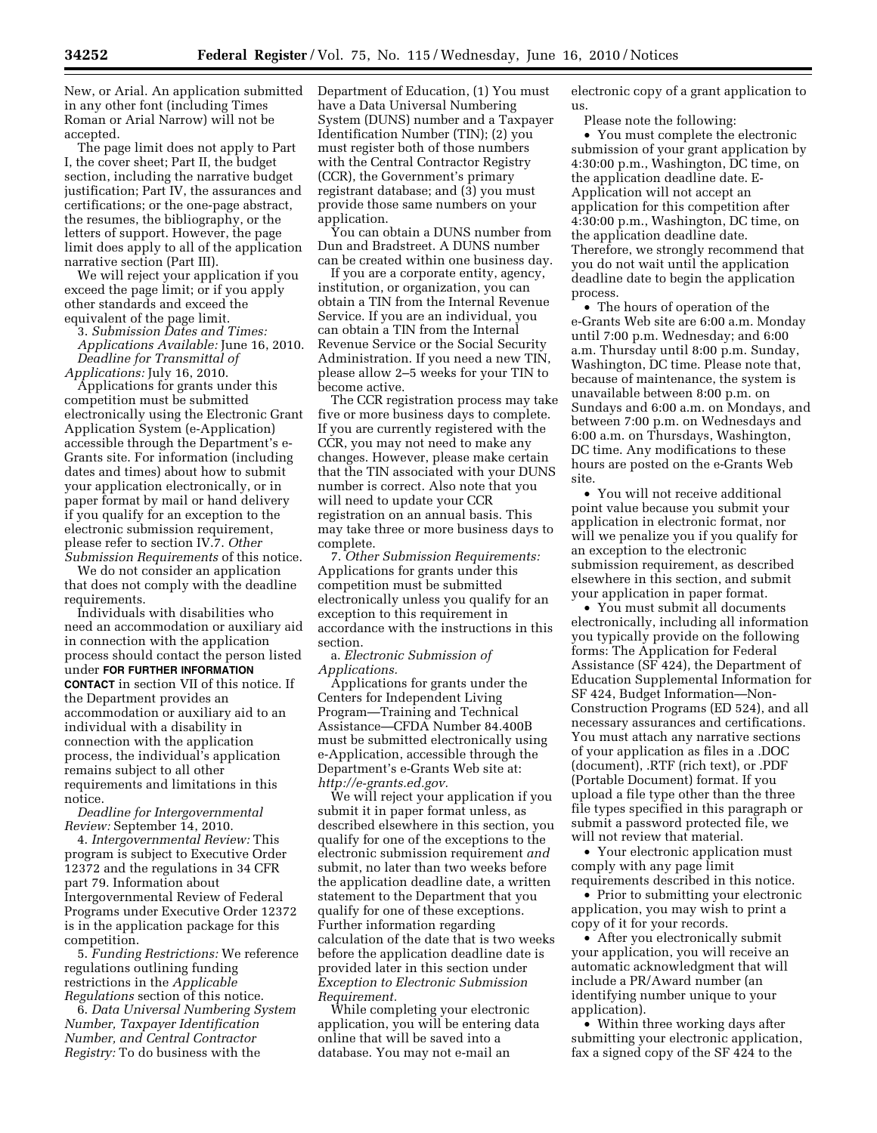New, or Arial. An application submitted in any other font (including Times Roman or Arial Narrow) will not be accepted.

The page limit does not apply to Part I, the cover sheet; Part II, the budget section, including the narrative budget justification; Part IV, the assurances and certifications; or the one-page abstract, the resumes, the bibliography, or the letters of support. However, the page limit does apply to all of the application narrative section (Part III).

We will reject your application if you exceed the page limit; or if you apply other standards and exceed the equivalent of the page limit.

3. *Submission Dates and Times:* 

*Applications Available:* June 16, 2010. *Deadline for Transmittal of Applications:* July 16, 2010.

Applications for grants under this competition must be submitted electronically using the Electronic Grant Application System (e-Application) accessible through the Department's e-Grants site. For information (including dates and times) about how to submit your application electronically, or in paper format by mail or hand delivery if you qualify for an exception to the electronic submission requirement, please refer to section IV.7. *Other Submission Requirements* of this notice.

We do not consider an application that does not comply with the deadline requirements.

Individuals with disabilities who need an accommodation or auxiliary aid in connection with the application process should contact the person listed under **FOR FURTHER INFORMATION CONTACT** in section VII of this notice. If the Department provides an accommodation or auxiliary aid to an individual with a disability in connection with the application process, the individual's application remains subject to all other requirements and limitations in this notice.

*Deadline for Intergovernmental Review:* September 14, 2010.

4. *Intergovernmental Review:* This program is subject to Executive Order 12372 and the regulations in 34 CFR part 79. Information about Intergovernmental Review of Federal Programs under Executive Order 12372 is in the application package for this competition.

5. *Funding Restrictions:* We reference regulations outlining funding restrictions in the *Applicable Regulations* section of this notice.

6. *Data Universal Numbering System Number, Taxpayer Identification Number, and Central Contractor Registry:* To do business with the

Department of Education, (1) You must have a Data Universal Numbering System (DUNS) number and a Taxpayer Identification Number (TIN); (2) you must register both of those numbers with the Central Contractor Registry (CCR), the Government's primary registrant database; and (3) you must provide those same numbers on your application.

You can obtain a DUNS number from Dun and Bradstreet. A DUNS number can be created within one business day.

If you are a corporate entity, agency, institution, or organization, you can obtain a TIN from the Internal Revenue Service. If you are an individual, you can obtain a TIN from the Internal Revenue Service or the Social Security Administration. If you need a new TIN, please allow 2–5 weeks for your TIN to become active.

The CCR registration process may take five or more business days to complete. If you are currently registered with the CCR, you may not need to make any changes. However, please make certain that the TIN associated with your DUNS number is correct. Also note that you will need to update your CCR registration on an annual basis. This may take three or more business days to complete.

7. *Other Submission Requirements:*  Applications for grants under this competition must be submitted electronically unless you qualify for an exception to this requirement in accordance with the instructions in this section.

a. *Electronic Submission of Applications.* 

Applications for grants under the Centers for Independent Living Program—Training and Technical Assistance—CFDA Number 84.400B must be submitted electronically using e-Application, accessible through the Department's e-Grants Web site at: *http://e-grants.ed.gov.* 

We will reject your application if you submit it in paper format unless, as described elsewhere in this section, you qualify for one of the exceptions to the electronic submission requirement *and*  submit, no later than two weeks before the application deadline date, a written statement to the Department that you qualify for one of these exceptions. Further information regarding calculation of the date that is two weeks before the application deadline date is provided later in this section under *Exception to Electronic Submission Requirement.* 

While completing your electronic application, you will be entering data online that will be saved into a database. You may not e-mail an

electronic copy of a grant application to us.

Please note the following:

• You must complete the electronic submission of your grant application by 4:30:00 p.m., Washington, DC time, on the application deadline date. E-Application will not accept an application for this competition after 4:30:00 p.m., Washington, DC time, on the application deadline date. Therefore, we strongly recommend that you do not wait until the application deadline date to begin the application process.

• The hours of operation of the e-Grants Web site are 6:00 a.m. Monday until 7:00 p.m. Wednesday; and 6:00 a.m. Thursday until 8:00 p.m. Sunday, Washington, DC time. Please note that, because of maintenance, the system is unavailable between 8:00 p.m. on Sundays and 6:00 a.m. on Mondays, and between 7:00 p.m. on Wednesdays and 6:00 a.m. on Thursdays, Washington, DC time. Any modifications to these hours are posted on the e-Grants Web site.

• You will not receive additional point value because you submit your application in electronic format, nor will we penalize you if you qualify for an exception to the electronic submission requirement, as described elsewhere in this section, and submit your application in paper format.

• You must submit all documents electronically, including all information you typically provide on the following forms: The Application for Federal Assistance (SF 424), the Department of Education Supplemental Information for SF 424, Budget Information—Non-Construction Programs (ED 524), and all necessary assurances and certifications. You must attach any narrative sections of your application as files in a .DOC (document), .RTF (rich text), or .PDF (Portable Document) format. If you upload a file type other than the three file types specified in this paragraph or submit a password protected file, we will not review that material.

• Your electronic application must comply with any page limit requirements described in this notice.

• Prior to submitting your electronic application, you may wish to print a copy of it for your records.

• After you electronically submit your application, you will receive an automatic acknowledgment that will include a PR/Award number (an identifying number unique to your application).

• Within three working days after submitting your electronic application, fax a signed copy of the SF 424 to the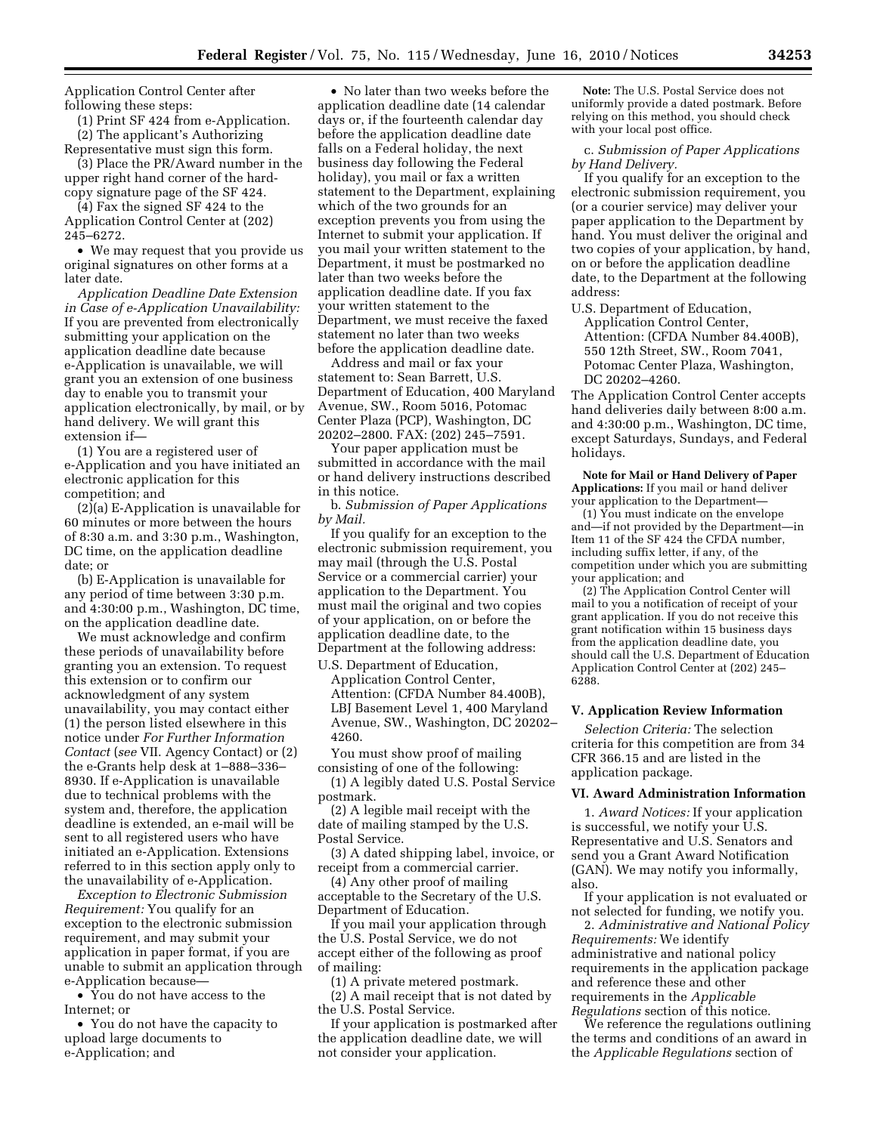Application Control Center after following these steps:

(1) Print SF 424 from e-Application. (2) The applicant's Authorizing

Representative must sign this form. (3) Place the PR/Award number in the upper right hand corner of the hard-

copy signature page of the SF 424. (4) Fax the signed SF 424 to the Application Control Center at (202)

245–6272. • We may request that you provide us original signatures on other forms at a

later date. *Application Deadline Date Extension in Case of e-Application Unavailability:*  If you are prevented from electronically submitting your application on the application deadline date because e-Application is unavailable, we will grant you an extension of one business day to enable you to transmit your application electronically, by mail, or by hand delivery. We will grant this extension if—

(1) You are a registered user of e-Application and you have initiated an electronic application for this competition; and

(2)(a) E-Application is unavailable for 60 minutes or more between the hours of 8:30 a.m. and 3:30 p.m., Washington, DC time, on the application deadline date; or

(b) E-Application is unavailable for any period of time between 3:30 p.m. and 4:30:00 p.m., Washington, DC time, on the application deadline date.

We must acknowledge and confirm these periods of unavailability before granting you an extension. To request this extension or to confirm our acknowledgment of any system unavailability, you may contact either (1) the person listed elsewhere in this notice under *For Further Information Contact* (*see* VII. Agency Contact) or (2) the e-Grants help desk at 1–888–336– 8930. If e-Application is unavailable due to technical problems with the system and, therefore, the application deadline is extended, an e-mail will be sent to all registered users who have initiated an e-Application. Extensions referred to in this section apply only to the unavailability of e-Application.

*Exception to Electronic Submission Requirement:* You qualify for an exception to the electronic submission requirement, and may submit your application in paper format, if you are unable to submit an application through e-Application because—

• You do not have access to the Internet; or

• You do not have the capacity to upload large documents to e-Application; and

• No later than two weeks before the application deadline date (14 calendar days or, if the fourteenth calendar day before the application deadline date falls on a Federal holiday, the next business day following the Federal holiday), you mail or fax a written statement to the Department, explaining which of the two grounds for an exception prevents you from using the Internet to submit your application. If you mail your written statement to the Department, it must be postmarked no later than two weeks before the application deadline date. If you fax your written statement to the Department, we must receive the faxed statement no later than two weeks before the application deadline date.

Address and mail or fax your statement to: Sean Barrett, U.S. Department of Education, 400 Maryland Avenue, SW., Room 5016, Potomac Center Plaza (PCP), Washington, DC 20202–2800. FAX: (202) 245–7591.

Your paper application must be submitted in accordance with the mail or hand delivery instructions described in this notice.

b. *Submission of Paper Applications by Mail.* 

If you qualify for an exception to the electronic submission requirement, you may mail (through the U.S. Postal Service or a commercial carrier) your application to the Department. You must mail the original and two copies of your application, on or before the application deadline date, to the Department at the following address:

U.S. Department of Education, Application Control Center, Attention: (CFDA Number 84.400B), LBJ Basement Level 1, 400 Maryland Avenue, SW., Washington, DC 20202– 4260.

You must show proof of mailing consisting of one of the following: (1) A legibly dated U.S. Postal Service

postmark. (2) A legible mail receipt with the date of mailing stamped by the U.S. Postal Service.

(3) A dated shipping label, invoice, or receipt from a commercial carrier.

(4) Any other proof of mailing acceptable to the Secretary of the U.S. Department of Education.

If you mail your application through the U.S. Postal Service, we do not accept either of the following as proof of mailing:

(1) A private metered postmark. (2) A mail receipt that is not dated by the U.S. Postal Service.

If your application is postmarked after the application deadline date, we will not consider your application.

**Note:** The U.S. Postal Service does not uniformly provide a dated postmark. Before relying on this method, you should check with your local post office.

c. *Submission of Paper Applications by Hand Delivery.* 

If you qualify for an exception to the electronic submission requirement, you (or a courier service) may deliver your paper application to the Department by hand. You must deliver the original and two copies of your application, by hand, on or before the application deadline date, to the Department at the following address:

U.S. Department of Education, Application Control Center, Attention: (CFDA Number 84.400B), 550 12th Street, SW., Room 7041, Potomac Center Plaza, Washington, DC 20202–4260.

The Application Control Center accepts hand deliveries daily between 8:00 a.m. and 4:30:00 p.m., Washington, DC time, except Saturdays, Sundays, and Federal holidays.

**Note for Mail or Hand Delivery of Paper Applications:** If you mail or hand deliver your application to the Department—

(1) You must indicate on the envelope and—if not provided by the Department—in Item 11 of the SF 424 the CFDA number, including suffix letter, if any, of the competition under which you are submitting your application; and

(2) The Application Control Center will mail to you a notification of receipt of your grant application. If you do not receive this grant notification within 15 business days from the application deadline date, you should call the U.S. Department of Education Application Control Center at (202) 245– 6288.

### **V. Application Review Information**

*Selection Criteria:* The selection criteria for this competition are from 34 CFR 366.15 and are listed in the application package.

#### **VI. Award Administration Information**

1. *Award Notices:* If your application is successful, we notify your U.S. Representative and U.S. Senators and send you a Grant Award Notification (GAN). We may notify you informally, also.

If your application is not evaluated or not selected for funding, we notify you.

2. *Administrative and National Policy Requirements:* We identify administrative and national policy requirements in the application package and reference these and other requirements in the *Applicable Regulations* section of this notice.

We reference the regulations outlining the terms and conditions of an award in the *Applicable Regulations* section of